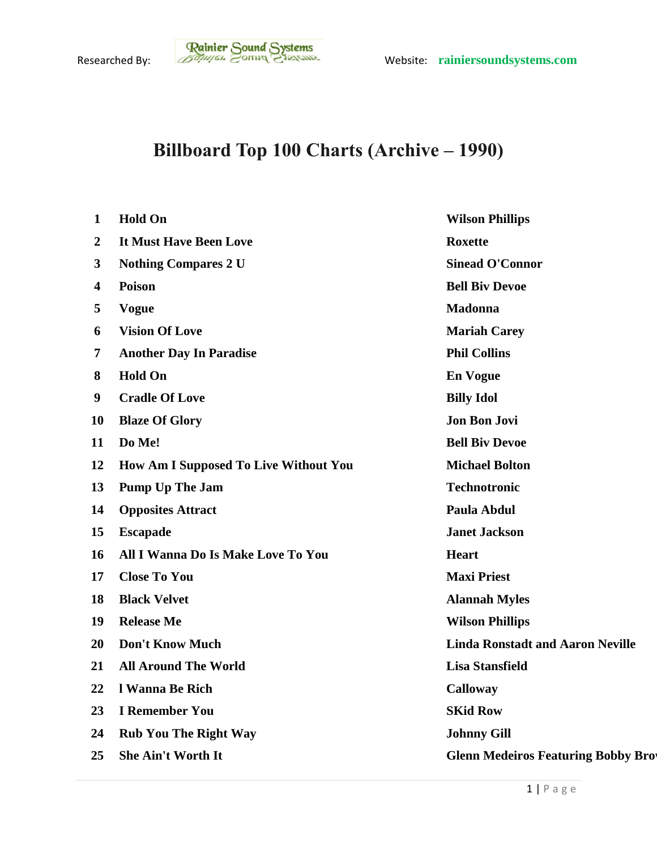## **Billboard Top 100 Charts (Archive – 1990)**

| $\mathbf{1}$            | <b>Hold On</b>                               | <b>Wilson Phillips</b>                    |
|-------------------------|----------------------------------------------|-------------------------------------------|
| $\boldsymbol{2}$        | It Must Have Been Love                       | <b>Roxette</b>                            |
| 3                       | <b>Nothing Compares 2 U</b>                  | <b>Sinead O'Connor</b>                    |
| $\overline{\mathbf{4}}$ | <b>Poison</b>                                | <b>Bell Biv Devoe</b>                     |
| 5                       | <b>Vogue</b>                                 | <b>Madonna</b>                            |
| 6                       | <b>Vision Of Love</b>                        | <b>Mariah Carey</b>                       |
| 7                       | <b>Another Day In Paradise</b>               | <b>Phil Collins</b>                       |
| 8                       | <b>Hold On</b>                               | <b>En Vogue</b>                           |
| 9                       | <b>Cradle Of Love</b>                        | <b>Billy Idol</b>                         |
| 10                      | <b>Blaze Of Glory</b>                        | <b>Jon Bon Jovi</b>                       |
| 11                      | Do Me!                                       | <b>Bell Biv Devoe</b>                     |
| 12                      | <b>How Am I Supposed To Live Without You</b> | <b>Michael Bolton</b>                     |
| 13                      | <b>Pump Up The Jam</b>                       | <b>Technotronic</b>                       |
| 14                      | <b>Opposites Attract</b>                     | Paula Abdul                               |
| 15                      | <b>Escapade</b>                              | <b>Janet Jackson</b>                      |
| 16                      | All I Wanna Do Is Make Love To You           | <b>Heart</b>                              |
| 17                      | <b>Close To You</b>                          | <b>Maxi Priest</b>                        |
| 18                      | <b>Black Velvet</b>                          | <b>Alannah Myles</b>                      |
| 19                      | <b>Release Me</b>                            | <b>Wilson Phillips</b>                    |
| 20                      | <b>Don't Know Much</b>                       | <b>Linda Ronstadt and Aaron Neville</b>   |
| 21                      | <b>All Around The World</b>                  | <b>Lisa Stansfield</b>                    |
| 22                      | l Wanna Be Rich                              | <b>Calloway</b>                           |
| 23                      | <b>I</b> Remember You                        | <b>SKid Row</b>                           |
| 24                      | <b>Rub You The Right Way</b>                 | <b>Johnny Gill</b>                        |
| 25                      | <b>She Ain't Worth It</b>                    | <b>Glenn Medeiros Featuring Bobby Bro</b> |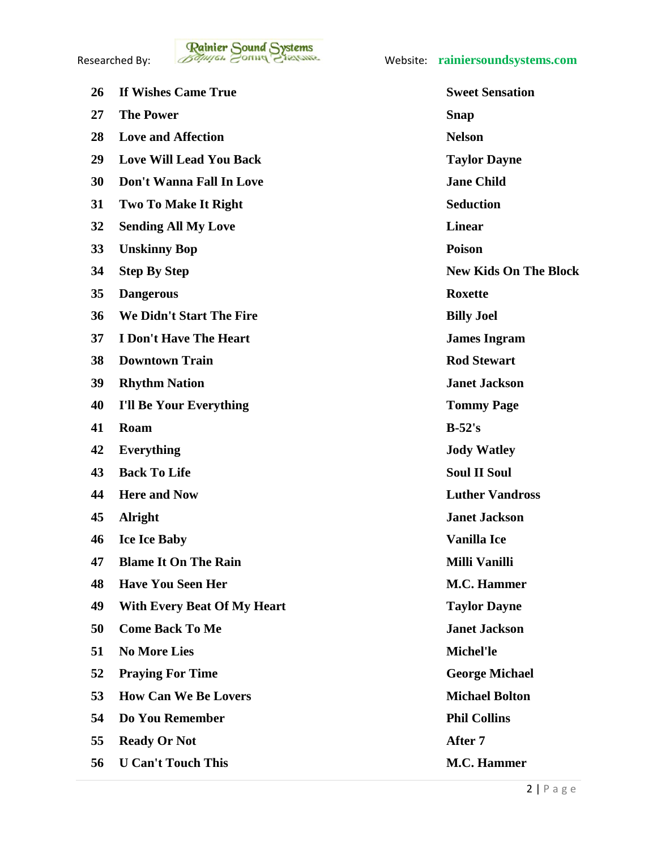

| 26 | If Wishes Came True                | <b>Sweet Sensation</b> |
|----|------------------------------------|------------------------|
| 27 | <b>The Power</b>                   | Snap                   |
| 28 | <b>Love and Affection</b>          | <b>Nelson</b>          |
| 29 | <b>Love Will Lead You Back</b>     | <b>Taylor Dayne</b>    |
| 30 | <b>Don't Wanna Fall In Love</b>    | <b>Jane Child</b>      |
| 31 | <b>Two To Make It Right</b>        | <b>Seduction</b>       |
| 32 | <b>Sending All My Love</b>         | <b>Linear</b>          |
| 33 | <b>Unskinny Bop</b>                | <b>Poison</b>          |
| 34 | <b>Step By Step</b>                | <b>New Kids On The</b> |
| 35 | <b>Dangerous</b>                   | <b>Roxette</b>         |
| 36 | We Didn't Start The Fire           | <b>Billy Joel</b>      |
| 37 | <b>I Don't Have The Heart</b>      | <b>James Ingram</b>    |
| 38 | <b>Downtown Train</b>              | <b>Rod Stewart</b>     |
| 39 | <b>Rhythm Nation</b>               | <b>Janet Jackson</b>   |
| 40 | <b>I'll Be Your Everything</b>     | <b>Tommy Page</b>      |
| 41 | Roam                               | $B-52's$               |
| 42 | <b>Everything</b>                  | <b>Jody Watley</b>     |
| 43 | <b>Back To Life</b>                | <b>Soul II Soul</b>    |
| 44 | <b>Here and Now</b>                | <b>Luther Vandross</b> |
| 45 | <b>Alright</b>                     | <b>Janet Jackson</b>   |
| 46 | <b>Ice Ice Baby</b>                | <b>Vanilla Ice</b>     |
| 47 | <b>Blame It On The Rain</b>        | Milli Vanilli          |
| 48 | <b>Have You Seen Her</b>           | <b>M.C. Hammer</b>     |
| 49 | <b>With Every Beat Of My Heart</b> | <b>Taylor Dayne</b>    |
| 50 | <b>Come Back To Me</b>             | <b>Janet Jackson</b>   |
| 51 | <b>No More Lies</b>                | Michel'le              |
| 52 | <b>Praying For Time</b>            | <b>George Michael</b>  |
| 53 | <b>How Can We Be Lovers</b>        | <b>Michael Bolton</b>  |
| 54 | Do You Remember                    | <b>Phil Collins</b>    |
| 55 | <b>Ready Or Not</b>                | After 7                |
| 56 | <b>U Can't Touch This</b>          | <b>M.C. Hammer</b>     |

**7aylor Dayne Jane Child**  $Seduction$  **Step By Step New Kids On The Block Billy Joel James Ingram Rod Stewart Janet Jackson** *<u>Janet Jackson</u>* **Michel'le Praying For Time George Michael Michael Bolton**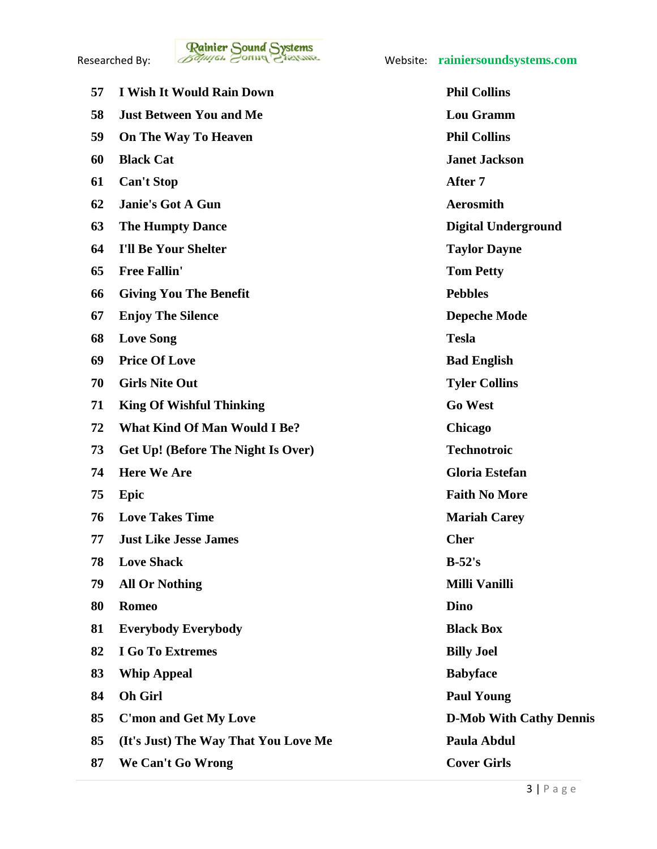

| 57 | <b>I Wish It Would Rain Down</b>     | <b>Phil Collins</b>    |
|----|--------------------------------------|------------------------|
| 58 | <b>Just Between You and Me</b>       | <b>Lou Gramm</b>       |
| 59 | On The Way To Heaven                 | <b>Phil Collins</b>    |
| 60 | <b>Black Cat</b>                     | <b>Janet Jackson</b>   |
| 61 | <b>Can't Stop</b>                    | After 7                |
| 62 | Janie's Got A Gun                    | <b>Aerosmith</b>       |
| 63 | <b>The Humpty Dance</b>              | <b>Digital Undergi</b> |
| 64 | <b>I'll Be Your Shelter</b>          | <b>Taylor Dayne</b>    |
| 65 | <b>Free Fallin'</b>                  | <b>Tom Petty</b>       |
| 66 | <b>Giving You The Benefit</b>        | <b>Pebbles</b>         |
| 67 | <b>Enjoy The Silence</b>             | <b>Depeche Mode</b>    |
| 68 | <b>Love Song</b>                     | <b>Tesla</b>           |
| 69 | <b>Price Of Love</b>                 | <b>Bad English</b>     |
| 70 | <b>Girls Nite Out</b>                | <b>Tyler Collins</b>   |
| 71 | <b>King Of Wishful Thinking</b>      | <b>Go West</b>         |
| 72 | <b>What Kind Of Man Would I Be?</b>  | Chicago                |
| 73 | Get Up! (Before The Night Is Over)   | <b>Technotroic</b>     |
| 74 | <b>Here We Are</b>                   | <b>Gloria Estefan</b>  |
| 75 | Epic                                 | <b>Faith No More</b>   |
| 76 | <b>Love Takes Time</b>               | <b>Mariah Carey</b>    |
| 77 | <b>Just Like Jesse James</b>         | <b>Cher</b>            |
| 78 | <b>Love Shack</b>                    | $B-52's$               |
| 79 | <b>All Or Nothing</b>                | <b>Milli Vanilli</b>   |
| 80 | <b>Romeo</b>                         | <b>Dino</b>            |
| 81 | <b>Everybody Everybody</b>           | <b>Black Box</b>       |
| 82 | I Go To Extremes                     | <b>Billy Joel</b>      |
| 83 | <b>Whip Appeal</b>                   | <b>Babyface</b>        |
| 84 | <b>Oh Girl</b>                       | <b>Paul Young</b>      |
| 85 | <b>C'mon and Get My Love</b>         | D-Mob With Ca          |
| 85 | (It's Just) The Way That You Love Me | Paula Abdul            |
| 87 | We Can't Go Wrong                    | <b>Cover Girls</b>     |

 $Lou$  Gramm **Phil Collins Janie's Got A Gun Aerosmith Digital Underground Taylor Dayne from Petty**  ${\bf Chicago}$  $Technotroic$  **Here We Are Gloria Estefan Epic Faith No More Mariah Carey All Or Nothing Milli Vanilli Black Box**  Billy Joel **Babyface Paul Young C'mon and Get My Love D-Mob With Cathy Dennis** Paula Abdul